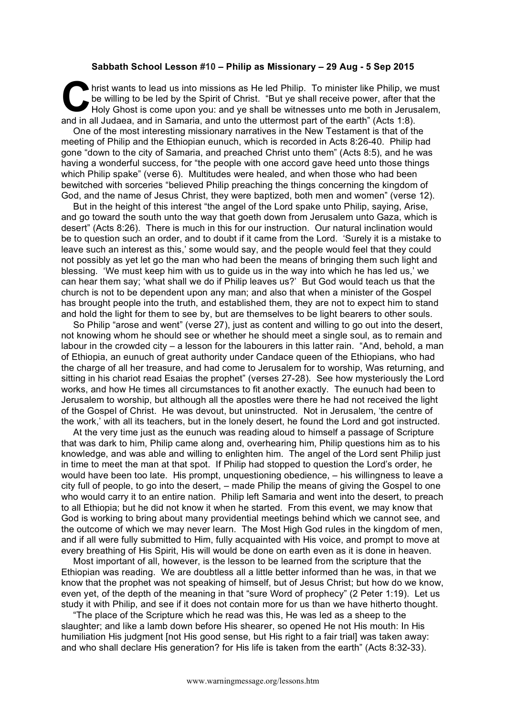## **Sabbath School Lesson #10 – Philip as Missionary – 29 Aug - 5 Sep 2015**

hrist wants to lead us into missions as He led Philip. To minister like Philip, we must<br>be willing to be led by the Spirit of Christ. "But ye shall receive power, after that the<br>Holy Ghost is come upon you: and ye shall be be willing to be led by the Spirit of Christ. "But ye shall receive power, after that the Holy Ghost is come upon you: and ye shall be witnesses unto me both in Jerusalem, and in all Judaea, and in Samaria, and unto the uttermost part of the earth" (Acts 1:8).

One of the most interesting missionary narratives in the New Testament is that of the meeting of Philip and the Ethiopian eunuch, which is recorded in Acts 8:26-40. Philip had gone "down to the city of Samaria, and preached Christ unto them" (Acts 8:5), and he was having a wonderful success, for "the people with one accord gave heed unto those things which Philip spake" (verse 6). Multitudes were healed, and when those who had been bewitched with sorceries "believed Philip preaching the things concerning the kingdom of God, and the name of Jesus Christ, they were baptized, both men and women" (verse 12).

But in the height of this interest "the angel of the Lord spake unto Philip, saying, Arise, and go toward the south unto the way that goeth down from Jerusalem unto Gaza, which is desert" (Acts 8:26). There is much in this for our instruction. Our natural inclination would be to question such an order, and to doubt if it came from the Lord. 'Surely it is a mistake to leave such an interest as this,' some would say, and the people would feel that they could not possibly as yet let go the man who had been the means of bringing them such light and blessing. 'We must keep him with us to guide us in the way into which he has led us,' we can hear them say; 'what shall we do if Philip leaves us?' But God would teach us that the church is not to be dependent upon any man; and also that when a minister of the Gospel has brought people into the truth, and established them, they are not to expect him to stand and hold the light for them to see by, but are themselves to be light bearers to other souls.

So Philip "arose and went" (verse 27), just as content and willing to go out into the desert, not knowing whom he should see or whether he should meet a single soul, as to remain and labour in the crowded city  $-$  a lesson for the labourers in this latter rain. "And, behold, a man of Ethiopia, an eunuch of great authority under Candace queen of the Ethiopians, who had the charge of all her treasure, and had come to Jerusalem for to worship, Was returning, and sitting in his chariot read Esaias the prophet" (verses 27-28). See how mysteriously the Lord works, and how He times all circumstances to fit another exactly. The eunuch had been to Jerusalem to worship, but although all the apostles were there he had not received the light of the Gospel of Christ. He was devout, but uninstructed. Not in Jerusalem, 'the centre of the work,' with all its teachers, but in the lonely desert, he found the Lord and got instructed.

At the very time just as the eunuch was reading aloud to himself a passage of Scripture that was dark to him, Philip came along and, overhearing him, Philip questions him as to his knowledge, and was able and willing to enlighten him. The angel of the Lord sent Philip just in time to meet the man at that spot. If Philip had stopped to question the Lord's order, he would have been too late. His prompt, unquestioning obedience, – his willingness to leave a city full of people, to go into the desert, – made Philip the means of giving the Gospel to one who would carry it to an entire nation. Philip left Samaria and went into the desert, to preach to all Ethiopia; but he did not know it when he started. From this event, we may know that God is working to bring about many providential meetings behind which we cannot see, and the outcome of which we may never learn. The Most High God rules in the kingdom of men, and if all were fully submitted to Him, fully acquainted with His voice, and prompt to move at every breathing of His Spirit, His will would be done on earth even as it is done in heaven.

Most important of all, however, is the lesson to be learned from the scripture that the Ethiopian was reading. We are doubtless all a little better informed than he was, in that we know that the prophet was not speaking of himself, but of Jesus Christ; but how do we know, even yet, of the depth of the meaning in that "sure Word of prophecy" (2 Peter 1:19). Let us study it with Philip, and see if it does not contain more for us than we have hitherto thought.

"The place of the Scripture which he read was this, He was led as a sheep to the slaughter; and like a lamb down before His shearer, so opened He not His mouth: In His humiliation His judgment [not His good sense, but His right to a fair trial] was taken away: and who shall declare His generation? for His life is taken from the earth" (Acts 8:32-33).